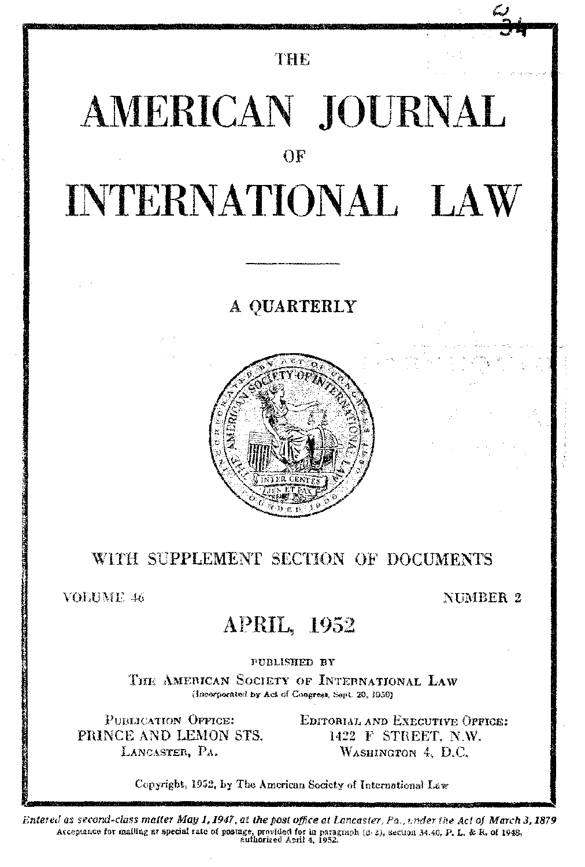THE.

# AMERICAN JOURNAL OF

# INTERNATIONAL LAW

### A QUARTERLY



## WITH SUPPLEMENT SECTION OF DOCUMENTS

VOLUME 46

NUMBER 2

# **APRIL, 1952**

#### **FUBLISHED BY**

THE AMERICAN SOCIETY OF INTERNATIONAL LAW (Incorporated by Act of Congress, Sept. 20, 1950).

PUBLICATION OFFICE: PRINCE AND LEMON STS. LANCASTER, PA.

EDITORIAL AND EXECUTIVE OPFICE: 1422 F STREET, N.W. WASHINGTON 4, D.C.

Copyright, 1952, by The American Society of International Law

Entered as second-class matter May 1, 1947, at the post office at Lancaster, Pa., under the Act of March 3, 1879 Acceptance for mailing at special rate of postage, provided for in paragraph (d-2), section 34.40, P. L. & R. of 1948, authorized April 4, 1952.